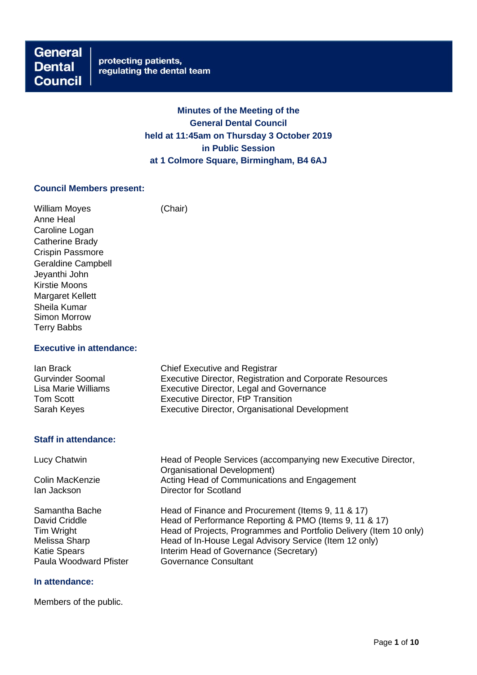**General Dental Council** 

# **Minutes of the Meeting of the General Dental Council held at 11:45am on Thursday 3 October 2019 in Public Session at 1 Colmore Square, Birmingham, B4 6AJ**

### **Council Members present:**

William Moyes (Chair) Anne Heal Caroline Logan Catherine Brady Crispin Passmore Geraldine Campbell Jeyanthi John Kirstie Moons Margaret Kellett Sheila Kumar Simon Morrow Terry Babbs

# **Executive in attendance:**

| lan Brack               | <b>Chief Executive and Registrar</b>                     |
|-------------------------|----------------------------------------------------------|
| <b>Gurvinder Soomal</b> | Executive Director, Registration and Corporate Resources |
| Lisa Marie Williams     | Executive Director, Legal and Governance                 |
| Tom Scott               | <b>Executive Director, FtP Transition</b>                |
| Sarah Keyes             | Executive Director, Organisational Development           |

### **Staff in attendance:**

Lucy Chatwin **Head of People Services (accompanying new Executive Director,** Organisational Development) Colin MacKenzie **Acting Head of Communications and Engagement**<br>
Ian Jackson<br> **Director for Scotland** Director for Scotland Samantha Bache Head of Finance and Procurement (Items 9, 11 & 17)<br>David Criddle Head of Performance Reporting & PMO (Items 9, 11 & David Criddle **Head of Performance Reporting & PMO (Items 9, 11 & 17)**<br>Tim Wright **Head of Projects**. Programmes and Portfolio Delivery (Item Head of Projects, Programmes and Portfolio Delivery (Item 10 only) Melissa Sharp Head of In-House Legal Advisory Service (Item 12 only) Katie Spears Interim Head of Governance (Secretary) Paula Woodward Pfister

### **In attendance:**

Members of the public.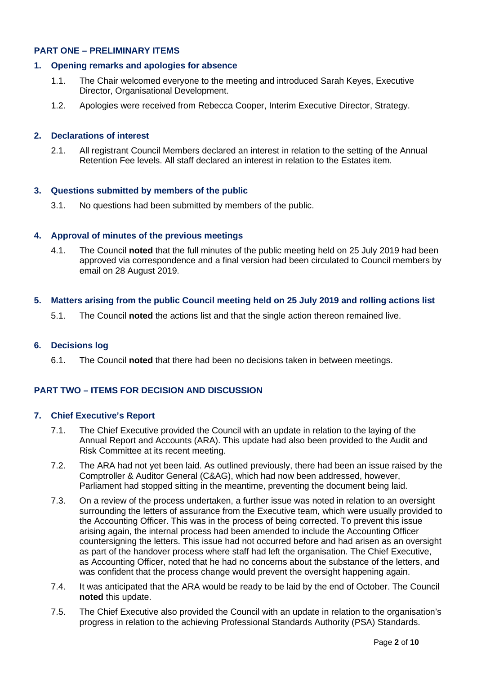# **PART ONE – PRELIMINARY ITEMS**

# **1. Opening remarks and apologies for absence**

- 1.1. The Chair welcomed everyone to the meeting and introduced Sarah Keyes, Executive Director, Organisational Development.
- 1.2. Apologies were received from Rebecca Cooper, Interim Executive Director, Strategy.

# **2. Declarations of interest**

2.1. All registrant Council Members declared an interest in relation to the setting of the Annual Retention Fee levels. All staff declared an interest in relation to the Estates item.

# **3. Questions submitted by members of the public**

3.1. No questions had been submitted by members of the public.

# **4. Approval of minutes of the previous meetings**

4.1. The Council **noted** that the full minutes of the public meeting held on 25 July 2019 had been approved via correspondence and a final version had been circulated to Council members by email on 28 August 2019.

### **5. Matters arising from the public Council meeting held on 25 July 2019 and rolling actions list**

5.1. The Council **noted** the actions list and that the single action thereon remained live.

# **6. Decisions log**

6.1. The Council **noted** that there had been no decisions taken in between meetings.

# **PART TWO – ITEMS FOR DECISION AND DISCUSSION**

### **7. Chief Executive's Report**

- 7.1. The Chief Executive provided the Council with an update in relation to the laying of the Annual Report and Accounts (ARA). This update had also been provided to the Audit and Risk Committee at its recent meeting.
- 7.2. The ARA had not yet been laid. As outlined previously, there had been an issue raised by the Comptroller & Auditor General (C&AG), which had now been addressed, however, Parliament had stopped sitting in the meantime, preventing the document being laid.
- 7.3. On a review of the process undertaken, a further issue was noted in relation to an oversight surrounding the letters of assurance from the Executive team, which were usually provided to the Accounting Officer. This was in the process of being corrected. To prevent this issue arising again, the internal process had been amended to include the Accounting Officer countersigning the letters. This issue had not occurred before and had arisen as an oversight as part of the handover process where staff had left the organisation. The Chief Executive, as Accounting Officer, noted that he had no concerns about the substance of the letters, and was confident that the process change would prevent the oversight happening again.
- 7.4. It was anticipated that the ARA would be ready to be laid by the end of October. The Council **noted** this update.
- 7.5. The Chief Executive also provided the Council with an update in relation to the organisation's progress in relation to the achieving Professional Standards Authority (PSA) Standards.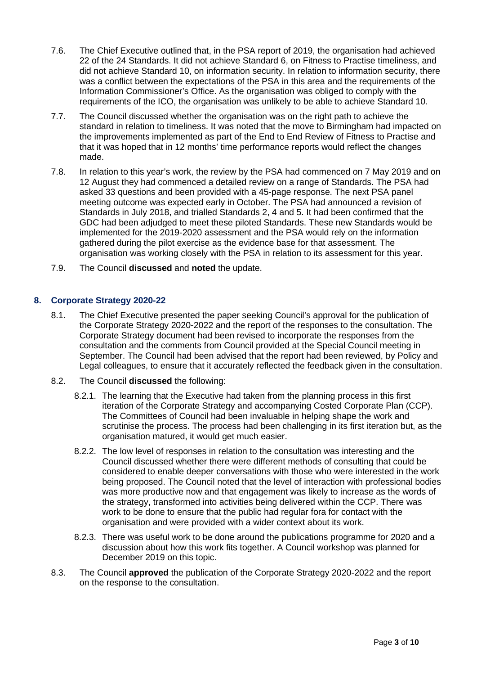- 7.6. The Chief Executive outlined that, in the PSA report of 2019, the organisation had achieved 22 of the 24 Standards. It did not achieve Standard 6, on Fitness to Practise timeliness, and did not achieve Standard 10, on information security. In relation to information security, there was a conflict between the expectations of the PSA in this area and the requirements of the Information Commissioner's Office. As the organisation was obliged to comply with the requirements of the ICO, the organisation was unlikely to be able to achieve Standard 10.
- 7.7. The Council discussed whether the organisation was on the right path to achieve the standard in relation to timeliness. It was noted that the move to Birmingham had impacted on the improvements implemented as part of the End to End Review of Fitness to Practise and that it was hoped that in 12 months' time performance reports would reflect the changes made.
- 7.8. In relation to this year's work, the review by the PSA had commenced on 7 May 2019 and on 12 August they had commenced a detailed review on a range of Standards. The PSA had asked 33 questions and been provided with a 45-page response. The next PSA panel meeting outcome was expected early in October. The PSA had announced a revision of Standards in July 2018, and trialled Standards 2, 4 and 5. It had been confirmed that the GDC had been adjudged to meet these piloted Standards. These new Standards would be implemented for the 2019-2020 assessment and the PSA would rely on the information gathered during the pilot exercise as the evidence base for that assessment. The organisation was working closely with the PSA in relation to its assessment for this year.
- 7.9. The Council **discussed** and **noted** the update.

# **8. Corporate Strategy 2020-22**

- 8.1. The Chief Executive presented the paper seeking Council's approval for the publication of the Corporate Strategy 2020-2022 and the report of the responses to the consultation. The Corporate Strategy document had been revised to incorporate the responses from the consultation and the comments from Council provided at the Special Council meeting in September. The Council had been advised that the report had been reviewed, by Policy and Legal colleagues, to ensure that it accurately reflected the feedback given in the consultation.
- 8.2. The Council **discussed** the following:
	- 8.2.1. The learning that the Executive had taken from the planning process in this first iteration of the Corporate Strategy and accompanying Costed Corporate Plan (CCP). The Committees of Council had been invaluable in helping shape the work and scrutinise the process. The process had been challenging in its first iteration but, as the organisation matured, it would get much easier.
	- 8.2.2. The low level of responses in relation to the consultation was interesting and the Council discussed whether there were different methods of consulting that could be considered to enable deeper conversations with those who were interested in the work being proposed. The Council noted that the level of interaction with professional bodies was more productive now and that engagement was likely to increase as the words of the strategy, transformed into activities being delivered within the CCP. There was work to be done to ensure that the public had regular fora for contact with the organisation and were provided with a wider context about its work.
	- 8.2.3. There was useful work to be done around the publications programme for 2020 and a discussion about how this work fits together. A Council workshop was planned for December 2019 on this topic.
- 8.3. The Council **approved** the publication of the Corporate Strategy 2020-2022 and the report on the response to the consultation.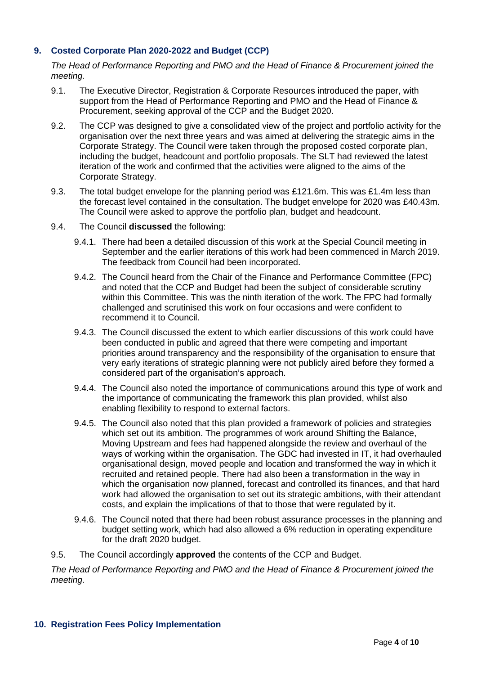# **9. Costed Corporate Plan 2020-2022 and Budget (CCP)**

*The Head of Performance Reporting and PMO and the Head of Finance & Procurement joined the meeting.*

- 9.1. The Executive Director, Registration & Corporate Resources introduced the paper, with support from the Head of Performance Reporting and PMO and the Head of Finance & Procurement, seeking approval of the CCP and the Budget 2020.
- 9.2. The CCP was designed to give a consolidated view of the project and portfolio activity for the organisation over the next three years and was aimed at delivering the strategic aims in the Corporate Strategy. The Council were taken through the proposed costed corporate plan, including the budget, headcount and portfolio proposals. The SLT had reviewed the latest iteration of the work and confirmed that the activities were aligned to the aims of the Corporate Strategy.
- 9.3. The total budget envelope for the planning period was £121.6m. This was £1.4m less than the forecast level contained in the consultation. The budget envelope for 2020 was £40.43m. The Council were asked to approve the portfolio plan, budget and headcount.
- 9.4. The Council **discussed** the following:
	- 9.4.1. There had been a detailed discussion of this work at the Special Council meeting in September and the earlier iterations of this work had been commenced in March 2019. The feedback from Council had been incorporated.
	- 9.4.2. The Council heard from the Chair of the Finance and Performance Committee (FPC) and noted that the CCP and Budget had been the subject of considerable scrutiny within this Committee. This was the ninth iteration of the work. The FPC had formally challenged and scrutinised this work on four occasions and were confident to recommend it to Council.
	- 9.4.3. The Council discussed the extent to which earlier discussions of this work could have been conducted in public and agreed that there were competing and important priorities around transparency and the responsibility of the organisation to ensure that very early iterations of strategic planning were not publicly aired before they formed a considered part of the organisation's approach.
	- 9.4.4. The Council also noted the importance of communications around this type of work and the importance of communicating the framework this plan provided, whilst also enabling flexibility to respond to external factors.
	- 9.4.5. The Council also noted that this plan provided a framework of policies and strategies which set out its ambition. The programmes of work around Shifting the Balance, Moving Upstream and fees had happened alongside the review and overhaul of the ways of working within the organisation. The GDC had invested in IT, it had overhauled organisational design, moved people and location and transformed the way in which it recruited and retained people. There had also been a transformation in the way in which the organisation now planned, forecast and controlled its finances, and that hard work had allowed the organisation to set out its strategic ambitions, with their attendant costs, and explain the implications of that to those that were regulated by it.
	- 9.4.6. The Council noted that there had been robust assurance processes in the planning and budget setting work, which had also allowed a 6% reduction in operating expenditure for the draft 2020 budget.
- 9.5. The Council accordingly **approved** the contents of the CCP and Budget.

*The Head of Performance Reporting and PMO and the Head of Finance & Procurement joined the meeting.*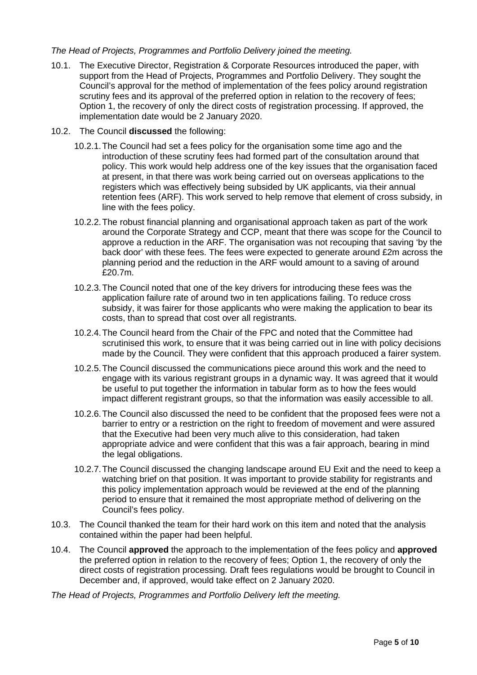# *The Head of Projects, Programmes and Portfolio Delivery joined the meeting.*

- 10.1. The Executive Director, Registration & Corporate Resources introduced the paper, with support from the Head of Projects, Programmes and Portfolio Delivery. They sought the Council's approval for the method of implementation of the fees policy around registration scrutiny fees and its approval of the preferred option in relation to the recovery of fees; Option 1, the recovery of only the direct costs of registration processing. If approved, the implementation date would be 2 January 2020.
- 10.2. The Council **discussed** the following:
	- 10.2.1.The Council had set a fees policy for the organisation some time ago and the introduction of these scrutiny fees had formed part of the consultation around that policy. This work would help address one of the key issues that the organisation faced at present, in that there was work being carried out on overseas applications to the registers which was effectively being subsided by UK applicants, via their annual retention fees (ARF). This work served to help remove that element of cross subsidy, in line with the fees policy.
	- 10.2.2.The robust financial planning and organisational approach taken as part of the work around the Corporate Strategy and CCP, meant that there was scope for the Council to approve a reduction in the ARF. The organisation was not recouping that saving 'by the back door' with these fees. The fees were expected to generate around £2m across the planning period and the reduction in the ARF would amount to a saving of around £20.7m.
	- 10.2.3.The Council noted that one of the key drivers for introducing these fees was the application failure rate of around two in ten applications failing. To reduce cross subsidy, it was fairer for those applicants who were making the application to bear its costs, than to spread that cost over all registrants.
	- 10.2.4.The Council heard from the Chair of the FPC and noted that the Committee had scrutinised this work, to ensure that it was being carried out in line with policy decisions made by the Council. They were confident that this approach produced a fairer system.
	- 10.2.5.The Council discussed the communications piece around this work and the need to engage with its various registrant groups in a dynamic way. It was agreed that it would be useful to put together the information in tabular form as to how the fees would impact different registrant groups, so that the information was easily accessible to all.
	- 10.2.6.The Council also discussed the need to be confident that the proposed fees were not a barrier to entry or a restriction on the right to freedom of movement and were assured that the Executive had been very much alive to this consideration, had taken appropriate advice and were confident that this was a fair approach, bearing in mind the legal obligations.
	- 10.2.7.The Council discussed the changing landscape around EU Exit and the need to keep a watching brief on that position. It was important to provide stability for registrants and this policy implementation approach would be reviewed at the end of the planning period to ensure that it remained the most appropriate method of delivering on the Council's fees policy.
- 10.3. The Council thanked the team for their hard work on this item and noted that the analysis contained within the paper had been helpful.
- 10.4. The Council **approved** the approach to the implementation of the fees policy and **approved** the preferred option in relation to the recovery of fees; Option 1, the recovery of only the direct costs of registration processing. Draft fees regulations would be brought to Council in December and, if approved, would take effect on 2 January 2020.

*The Head of Projects, Programmes and Portfolio Delivery left the meeting.*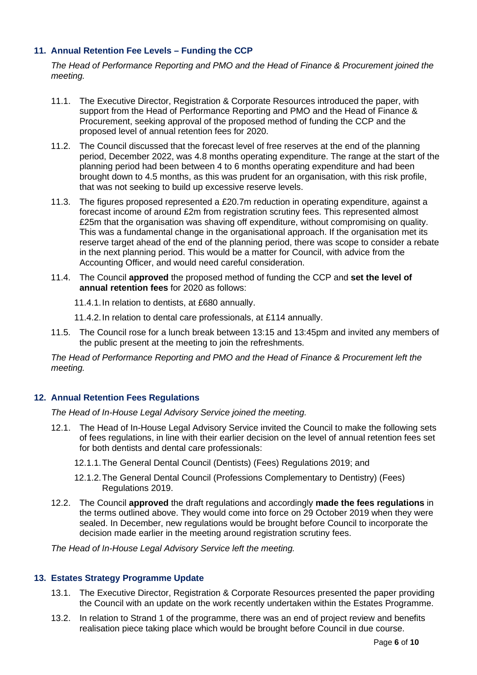# **11. Annual Retention Fee Levels – Funding the CCP**

*The Head of Performance Reporting and PMO and the Head of Finance & Procurement joined the meeting.*

- 11.1. The Executive Director, Registration & Corporate Resources introduced the paper, with support from the Head of Performance Reporting and PMO and the Head of Finance & Procurement, seeking approval of the proposed method of funding the CCP and the proposed level of annual retention fees for 2020.
- 11.2. The Council discussed that the forecast level of free reserves at the end of the planning period, December 2022, was 4.8 months operating expenditure. The range at the start of the planning period had been between 4 to 6 months operating expenditure and had been brought down to 4.5 months, as this was prudent for an organisation, with this risk profile, that was not seeking to build up excessive reserve levels.
- 11.3. The figures proposed represented a £20.7m reduction in operating expenditure, against a forecast income of around £2m from registration scrutiny fees. This represented almost £25m that the organisation was shaving off expenditure, without compromising on quality. This was a fundamental change in the organisational approach. If the organisation met its reserve target ahead of the end of the planning period, there was scope to consider a rebate in the next planning period. This would be a matter for Council, with advice from the Accounting Officer, and would need careful consideration.
- 11.4. The Council **approved** the proposed method of funding the CCP and **set the level of annual retention fees** for 2020 as follows:

11.4.1.In relation to dentists, at £680 annually.

11.4.2.In relation to dental care professionals, at £114 annually.

11.5. The Council rose for a lunch break between 13:15 and 13:45pm and invited any members of the public present at the meeting to join the refreshments.

*The Head of Performance Reporting and PMO and the Head of Finance & Procurement left the meeting.*

# **12. Annual Retention Fees Regulations**

*The Head of In-House Legal Advisory Service joined the meeting.*

- 12.1. The Head of In-House Legal Advisory Service invited the Council to make the following sets of fees regulations, in line with their earlier decision on the level of annual retention fees set for both dentists and dental care professionals:
	- 12.1.1.The General Dental Council (Dentists) (Fees) Regulations 2019; and
	- 12.1.2.The General Dental Council (Professions Complementary to Dentistry) (Fees) Regulations 2019.
- 12.2. The Council **approved** the draft regulations and accordingly **made the fees regulations** in the terms outlined above. They would come into force on 29 October 2019 when they were sealed. In December, new regulations would be brought before Council to incorporate the decision made earlier in the meeting around registration scrutiny fees.

*The Head of In-House Legal Advisory Service left the meeting.*

# **13. Estates Strategy Programme Update**

- 13.1. The Executive Director, Registration & Corporate Resources presented the paper providing the Council with an update on the work recently undertaken within the Estates Programme.
- 13.2. In relation to Strand 1 of the programme, there was an end of project review and benefits realisation piece taking place which would be brought before Council in due course.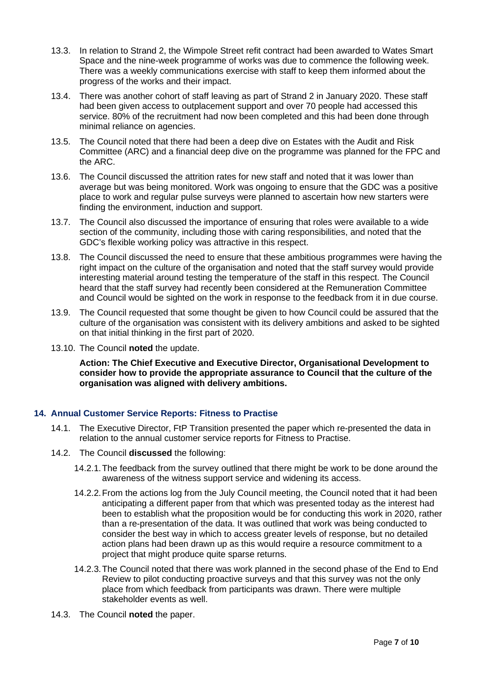- 13.3. In relation to Strand 2, the Wimpole Street refit contract had been awarded to Wates Smart Space and the nine-week programme of works was due to commence the following week. There was a weekly communications exercise with staff to keep them informed about the progress of the works and their impact.
- 13.4. There was another cohort of staff leaving as part of Strand 2 in January 2020. These staff had been given access to outplacement support and over 70 people had accessed this service. 80% of the recruitment had now been completed and this had been done through minimal reliance on agencies.
- 13.5. The Council noted that there had been a deep dive on Estates with the Audit and Risk Committee (ARC) and a financial deep dive on the programme was planned for the FPC and the ARC.
- 13.6. The Council discussed the attrition rates for new staff and noted that it was lower than average but was being monitored. Work was ongoing to ensure that the GDC was a positive place to work and regular pulse surveys were planned to ascertain how new starters were finding the environment, induction and support.
- 13.7. The Council also discussed the importance of ensuring that roles were available to a wide section of the community, including those with caring responsibilities, and noted that the GDC's flexible working policy was attractive in this respect.
- 13.8. The Council discussed the need to ensure that these ambitious programmes were having the right impact on the culture of the organisation and noted that the staff survey would provide interesting material around testing the temperature of the staff in this respect. The Council heard that the staff survey had recently been considered at the Remuneration Committee and Council would be sighted on the work in response to the feedback from it in due course.
- 13.9. The Council requested that some thought be given to how Council could be assured that the culture of the organisation was consistent with its delivery ambitions and asked to be sighted on that initial thinking in the first part of 2020.
- 13.10. The Council **noted** the update.

**Action: The Chief Executive and Executive Director, Organisational Development to consider how to provide the appropriate assurance to Council that the culture of the organisation was aligned with delivery ambitions.**

# **14. Annual Customer Service Reports: Fitness to Practise**

- 14.1. The Executive Director, FtP Transition presented the paper which re-presented the data in relation to the annual customer service reports for Fitness to Practise.
- 14.2. The Council **discussed** the following:
	- 14.2.1.The feedback from the survey outlined that there might be work to be done around the awareness of the witness support service and widening its access.
	- 14.2.2.From the actions log from the July Council meeting, the Council noted that it had been anticipating a different paper from that which was presented today as the interest had been to establish what the proposition would be for conducting this work in 2020, rather than a re-presentation of the data. It was outlined that work was being conducted to consider the best way in which to access greater levels of response, but no detailed action plans had been drawn up as this would require a resource commitment to a project that might produce quite sparse returns.
	- 14.2.3.The Council noted that there was work planned in the second phase of the End to End Review to pilot conducting proactive surveys and that this survey was not the only place from which feedback from participants was drawn. There were multiple stakeholder events as well.
- 14.3. The Council **noted** the paper.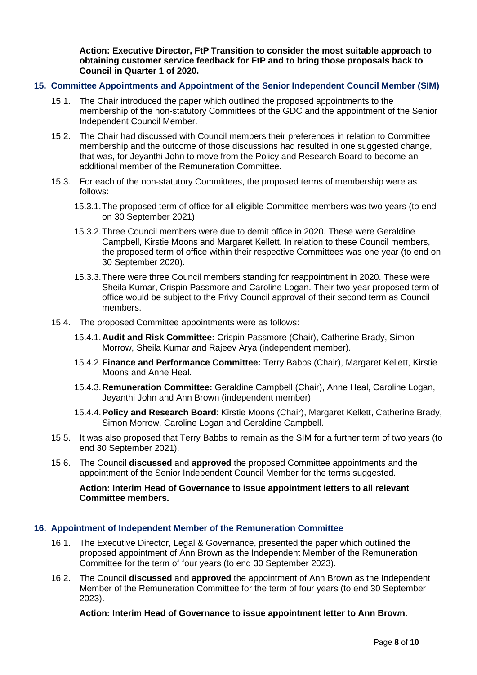**Action: Executive Director, FtP Transition to consider the most suitable approach to obtaining customer service feedback for FtP and to bring those proposals back to Council in Quarter 1 of 2020.** 

### **15. Committee Appointments and Appointment of the Senior Independent Council Member (SIM)**

- 15.1. The Chair introduced the paper which outlined the proposed appointments to the membership of the non-statutory Committees of the GDC and the appointment of the Senior Independent Council Member.
- 15.2. The Chair had discussed with Council members their preferences in relation to Committee membership and the outcome of those discussions had resulted in one suggested change, that was, for Jeyanthi John to move from the Policy and Research Board to become an additional member of the Remuneration Committee.
- 15.3. For each of the non-statutory Committees, the proposed terms of membership were as follows:
	- 15.3.1.The proposed term of office for all eligible Committee members was two years (to end on 30 September 2021).
	- 15.3.2.Three Council members were due to demit office in 2020. These were Geraldine Campbell, Kirstie Moons and Margaret Kellett. In relation to these Council members, the proposed term of office within their respective Committees was one year (to end on 30 September 2020).
	- 15.3.3.There were three Council members standing for reappointment in 2020. These were Sheila Kumar, Crispin Passmore and Caroline Logan. Their two-year proposed term of office would be subject to the Privy Council approval of their second term as Council members.
- 15.4. The proposed Committee appointments were as follows:
	- 15.4.1.**Audit and Risk Committee:** Crispin Passmore (Chair), Catherine Brady, Simon Morrow, Sheila Kumar and Rajeev Arya (independent member).
	- 15.4.2.**Finance and Performance Committee:** Terry Babbs (Chair), Margaret Kellett, Kirstie Moons and Anne Heal.
	- 15.4.3.**Remuneration Committee:** Geraldine Campbell (Chair), Anne Heal, Caroline Logan, Jeyanthi John and Ann Brown (independent member).
	- 15.4.4.**Policy and Research Board**: Kirstie Moons (Chair), Margaret Kellett, Catherine Brady, Simon Morrow, Caroline Logan and Geraldine Campbell.
- 15.5. It was also proposed that Terry Babbs to remain as the SIM for a further term of two years (to end 30 September 2021).
- 15.6. The Council **discussed** and **approved** the proposed Committee appointments and the appointment of the Senior Independent Council Member for the terms suggested.

# **Action: Interim Head of Governance to issue appointment letters to all relevant Committee members.**

# **16. Appointment of Independent Member of the Remuneration Committee**

- 16.1. The Executive Director, Legal & Governance, presented the paper which outlined the proposed appointment of Ann Brown as the Independent Member of the Remuneration Committee for the term of four years (to end 30 September 2023).
- 16.2. The Council **discussed** and **approved** the appointment of Ann Brown as the Independent Member of the Remuneration Committee for the term of four years (to end 30 September 2023).

**Action: Interim Head of Governance to issue appointment letter to Ann Brown.**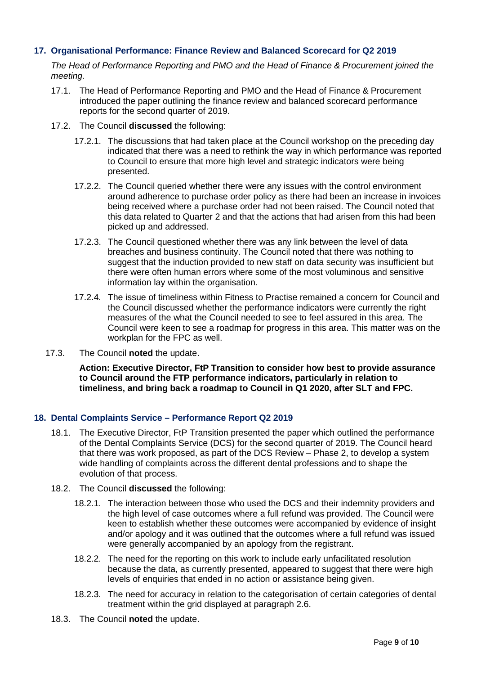# **17. Organisational Performance: Finance Review and Balanced Scorecard for Q2 2019**

*The Head of Performance Reporting and PMO and the Head of Finance & Procurement joined the meeting.*

- 17.1. The Head of Performance Reporting and PMO and the Head of Finance & Procurement introduced the paper outlining the finance review and balanced scorecard performance reports for the second quarter of 2019.
- 17.2. The Council **discussed** the following:
	- 17.2.1. The discussions that had taken place at the Council workshop on the preceding day indicated that there was a need to rethink the way in which performance was reported to Council to ensure that more high level and strategic indicators were being presented.
	- 17.2.2. The Council queried whether there were any issues with the control environment around adherence to purchase order policy as there had been an increase in invoices being received where a purchase order had not been raised. The Council noted that this data related to Quarter 2 and that the actions that had arisen from this had been picked up and addressed.
	- 17.2.3. The Council questioned whether there was any link between the level of data breaches and business continuity. The Council noted that there was nothing to suggest that the induction provided to new staff on data security was insufficient but there were often human errors where some of the most voluminous and sensitive information lay within the organisation.
	- 17.2.4. The issue of timeliness within Fitness to Practise remained a concern for Council and the Council discussed whether the performance indicators were currently the right measures of the what the Council needed to see to feel assured in this area. The Council were keen to see a roadmap for progress in this area. This matter was on the workplan for the FPC as well.
- 17.3. The Council **noted** the update.

**Action: Executive Director, FtP Transition to consider how best to provide assurance to Council around the FTP performance indicators, particularly in relation to timeliness, and bring back a roadmap to Council in Q1 2020, after SLT and FPC.**

# **18. Dental Complaints Service – Performance Report Q2 2019**

- 18.1. The Executive Director, FtP Transition presented the paper which outlined the performance of the Dental Complaints Service (DCS) for the second quarter of 2019. The Council heard that there was work proposed, as part of the DCS Review – Phase 2, to develop a system wide handling of complaints across the different dental professions and to shape the evolution of that process.
- 18.2. The Council **discussed** the following:
	- 18.2.1. The interaction between those who used the DCS and their indemnity providers and the high level of case outcomes where a full refund was provided. The Council were keen to establish whether these outcomes were accompanied by evidence of insight and/or apology and it was outlined that the outcomes where a full refund was issued were generally accompanied by an apology from the registrant.
	- 18.2.2. The need for the reporting on this work to include early unfacilitated resolution because the data, as currently presented, appeared to suggest that there were high levels of enquiries that ended in no action or assistance being given.
	- 18.2.3. The need for accuracy in relation to the categorisation of certain categories of dental treatment within the grid displayed at paragraph 2.6.
- 18.3. The Council **noted** the update.